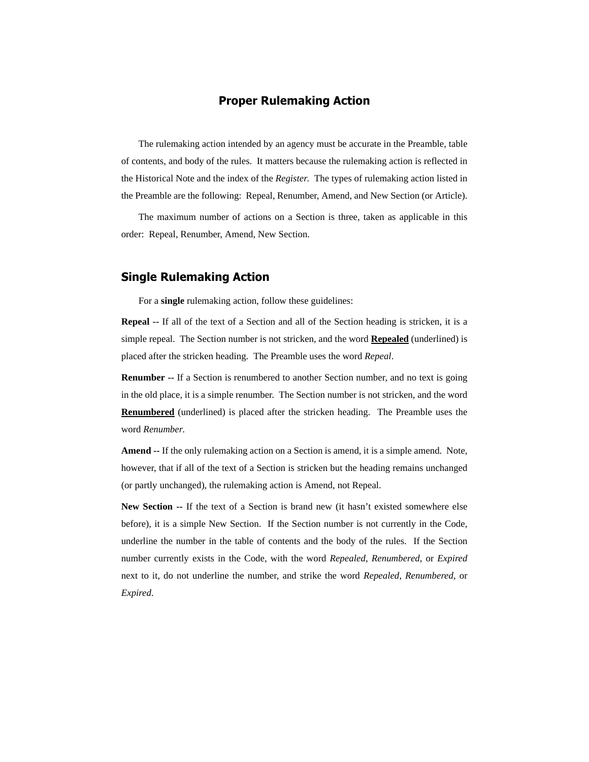## **Proper Rulemaking Action**

The rulemaking action intended by an agency must be accurate in the Preamble, table of contents, and body of the rules. It matters because the rulemaking action is reflected in the Historical Note and the index of the *Register*. The types of rulemaking action listed in the Preamble are the following: Repeal, Renumber, Amend, and New Section (or Article).

The maximum number of actions on a Section is three, taken as applicable in this order: Repeal, Renumber, Amend, New Section.

## **Single Rulemaking Action**

For a **single** rulemaking action, follow these guidelines:

**Repeal --** If all of the text of a Section and all of the Section heading is stricken, it is a simple repeal. The Section number is not stricken, and the word **Repealed** (underlined) is placed after the stricken heading. The Preamble uses the word *Repeal*.

**Renumber --** If a Section is renumbered to another Section number, and no text is going in the old place, it is a simple renumber. The Section number is not stricken, and the word **Renumbered** (underlined) is placed after the stricken heading. The Preamble uses the word *Renumber*.

**Amend --** If the only rulemaking action on a Section is amend, it is a simple amend. Note, however, that if all of the text of a Section is stricken but the heading remains unchanged (or partly unchanged), the rulemaking action is Amend, not Repeal.

**New Section --** If the text of a Section is brand new (it hasn't existed somewhere else before), it is a simple New Section. If the Section number is not currently in the Code, underline the number in the table of contents and the body of the rules. If the Section number currently exists in the Code, with the word *Repealed*, *Renumbered*, or *Expired* next to it, do not underline the number, and strike the word *Repealed*, *Renumbered,* or *Expired*.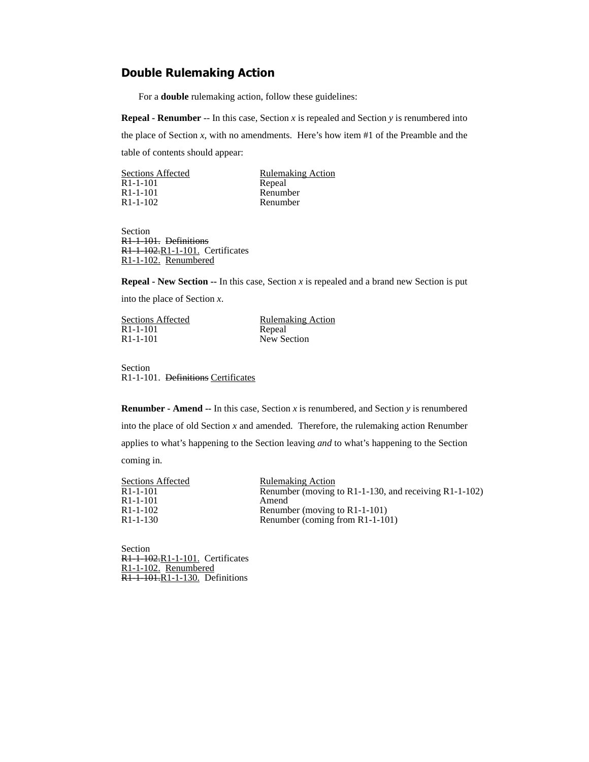## **Double Rulemaking Action**

For a **double** rulemaking action, follow these guidelines:

**Repeal - Renumber** -- In this case, Section *x* is repealed and Section *y* is renumbered into the place of Section  $x$ , with no amendments. Here's how item  $#1$  of the Preamble and the table of contents should appear:

| <b>Sections Affected</b> | <b>Rulemaking Action</b> |
|--------------------------|--------------------------|
| $R1 - 1 - 101$           | Repeal                   |
| R <sub>1</sub> -1-101    | Renumber                 |
| $R1 - 1 - 102$           | Renumber                 |
|                          |                          |

Section R1-1-101. Definitions R1-1-102.R1-1-101. Certificates R1-1-102. Renumbered

**Repeal - New Section --** In this case, Section  $x$  is repealed and a brand new Section is put

into the place of Section *x*.

| <b>Sections Affected</b> | <b>Rulemaking Action</b> |
|--------------------------|--------------------------|
| R1-1-101                 | Repeal                   |
| R1-1-101                 | New Section              |
|                          |                          |

Section R1-1-101. Definitions Certificates

**Renumber - Amend --** In this case, Section  $x$  is renumbered, and Section  $y$  is renumbered into the place of old Section *x* and amended. Therefore, the rulemaking action Renumber applies to what's happening to the Section leaving *and* to what's happening to the Section coming in.

| <b>Sections Affected</b> | <b>Rulemaking Action</b>                                 |
|--------------------------|----------------------------------------------------------|
| R <sub>1</sub> -1-101    | Renumber (moving to R1-1-130, and receiving $R1-1-102$ ) |
| R <sub>1</sub> -1-101    | Amend                                                    |
| R <sub>1</sub> -1-102    | Renumber (moving to $R1-1-101$ )                         |
| R <sub>1</sub> -1-130    | Renumber (coming from R1-1-101)                          |

Section **R1-1-102.R1-1-101.** Certificates R<sub>1</sub>-1-102. Renumbered R<sub>1-1-101</sub>.R<sub>1-1-130</sub>. Definitions